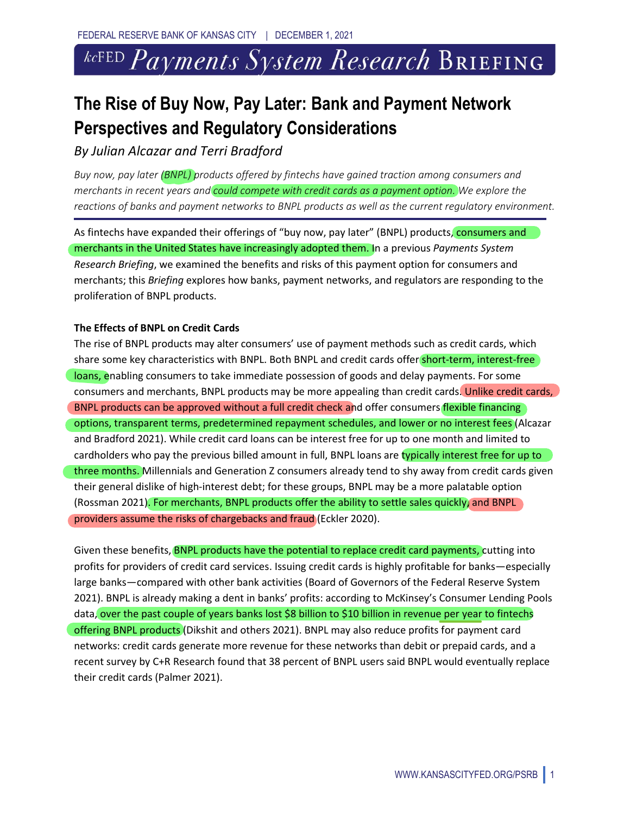# $k$ cFED Payments System Research Briefing.

# **The Rise of Buy Now, Pay Later: Bank and Payment Network Perspectives and Regulatory Considerations**

*By Julian Alcazar and Terri Bradford*

*Buy now, pay later (BNPL) products offered by fintechs have gained traction among consumers and merchants in recent years and could compete with credit cards as a payment option. We explore the reactions of banks and payment networks to BNPL products as well as the current regulatory environment.* 

As fintechs have expanded their offerings of "buy now, pay later" (BNPL) products, consumers and merchants in the United States have increasingly adopted them. In a previous *Payments System Research Briefing*, we examined the benefits and risks of this payment option for consumers and merchants; this *Briefing* explores how banks, payment networks, and regulators are responding to the proliferation of BNPL products.

### **The Effects of BNPL on Credit Cards**

The rise of BNPL products may alter consumers' use of payment methods such as credit cards, which share some key characteristics with BNPL. Both BNPL and credit cards offer short-term, interest-free loans, enabling consumers to take immediate possession of goods and delay payments. For some consumers and merchants, BNPL products may be more appealing than credit cards. Unlike credit cards, BNPL products can be approved without a full credit check and offer consumers flexible financing options, transparent terms, predetermined repayment schedules, and lower or no interest fees (Alcazar and Bradford 2021). While credit card loans can be interest free for up to one month and limited to cardholders who pay the previous billed amount in full, BNPL loans are typically interest free for up to three months. Millennials and Generation Z consumers already tend to shy away from credit cards given their general dislike of high-interest debt; for these groups, BNPL may be a more palatable option (Rossman 2021). For merchants, BNPL products offer the ability to settle sales quickly, and BNPL providers assume the risks of chargebacks and fraud (Eckler 2020).

Given these benefits, **BNPL products have the potential to replace credit card payments, cutting into** profits for providers of credit card services. Issuing credit cards is highly profitable for banks—especially large banks—compared with other bank activities (Board of Governors of the Federal Reserve System 2021). BNPL is already making a dent in banks' profits: according to McKinsey's Consumer Lending Pools data, over the past couple of years banks lost \$8 billion to \$10 billion in revenue per year to fintechs offering BNPL products (Dikshit and others 2021). BNPL may also reduce profits for payment card networks: credit cards generate more revenue for these networks than debit or prepaid cards, and a recent survey by C+R Research found that 38 percent of BNPL users said BNPL would eventually replace their credit cards (Palmer 2021).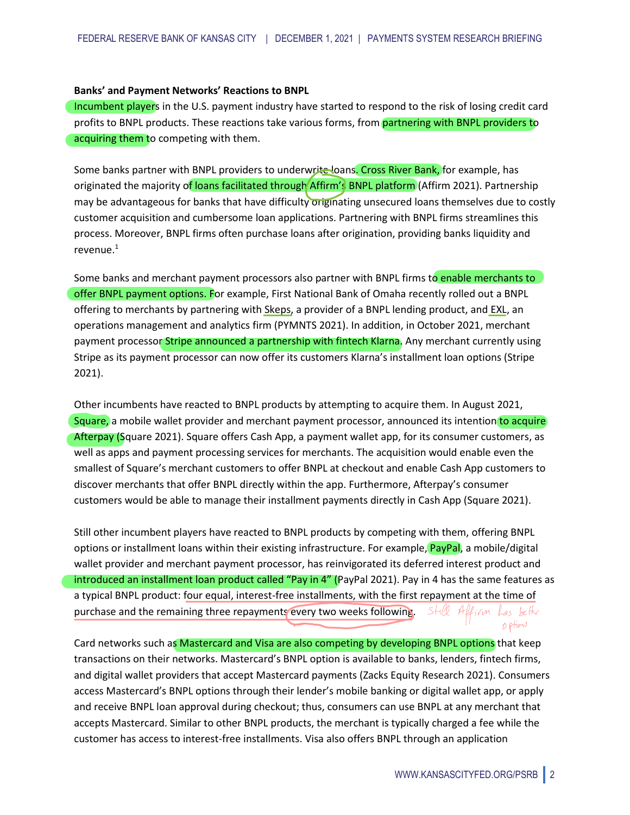#### **Banks' and Payment Networks' Reactions to BNPL**

Incumbent players in the U.S. payment industry have started to respond to the risk of losing credit card profits to BNPL products. These reactions take various forms, from partnering with BNPL providers to acquiring them to competing with them.

Some banks partner with BNPL providers to underwrite loans<mark>. Cross River Bank,</mark> for example, has originated the majority of loans facilitated through Affirm's BNPL platform (Affirm 2021). Partnership may be advantageous for banks that have difficulty originating unsecured loans themselves due to costly customer acquisition and cumbersome loan applications. Partnering with BNPL firms streamlines this process. Moreover, BNPL firms often purchase loans after origination, providing banks liquidity and revenue. 1 wri<del>te l</del>oa<br>Affirm's<br>v original

Some banks and merchant payment processors also partner with BNPL firms to enable merchants to offer BNPL payment options. For example, First National Bank of Omaha recently rolled out a BNPL offering to merchants by partnering with Skeps, a provider of a BNPL lending product, and EXL, an operations management and analytics firm (PYMNTS 2021). In addition, in October 2021, merchant payment processor Stripe announced a partnership with fintech Klarna. Any merchant currently using Stripe as its payment processor can now offer its customers Klarna's installment loan options (Stripe 2021).

Other incumbents have reacted to BNPL products by attempting to acquire them. In August 2021, Square, a mobile wallet provider and merchant payment processor, announced its intention to acquire Afterpay (Square 2021). Square offers Cash App, a payment wallet app, for its consumer customers, as well as apps and payment processing services for merchants. The acquisition would enable even the smallest of Square's merchant customers to offer BNPL at checkout and enable Cash App customers to discover merchants that offer BNPL directly within the app. Furthermore, Afterpay's consumer customers would be able to manage their installment payments directly in Cash App (Square 2021). acts by attempting to acquire them. In August 2021,<br>t payment processor, announced its intention to acquire<br>p, a payment wallet app, for its consumer customers, a<br>for merchants. The acquisition would enable even the<br>ffer B

Still other incumbent players have reacted to BNPL products by competing with them, offering BNPL options or installment loans within their existing infrastructure. For example, PayPal, a mobile/digital wallet provider and merchant payment processor, has reinvigorated its deferred interest product and introduced an installment loan product called "Pay in 4" (PayPal 2021). Pay in 4 has the same features as a typical BNPL product: four equal, interest-free installments, with the first repayment at the time of purchase and the remaining three repayments every two weeks following. options

Card networks such as Mastercard and Visa are also competing by developing BNPL options that keep transactions on their networks. Mastercard's BNPL option is available to banks, lenders, fintech firms, and digital wallet providers that accept Mastercard payments (Zacks Equity Research 2021). Consumers access Mastercard's BNPL options through their lender's mobile banking or digital wallet app, or apply and receive BNPL loan approval during checkout; thus, consumers can use BNPL at any merchant that accepts Mastercard. Similar to other BNPL products, the merchant is typically charged a fee while the customer has access to interest-free installments. Visa also offers BNPL through an application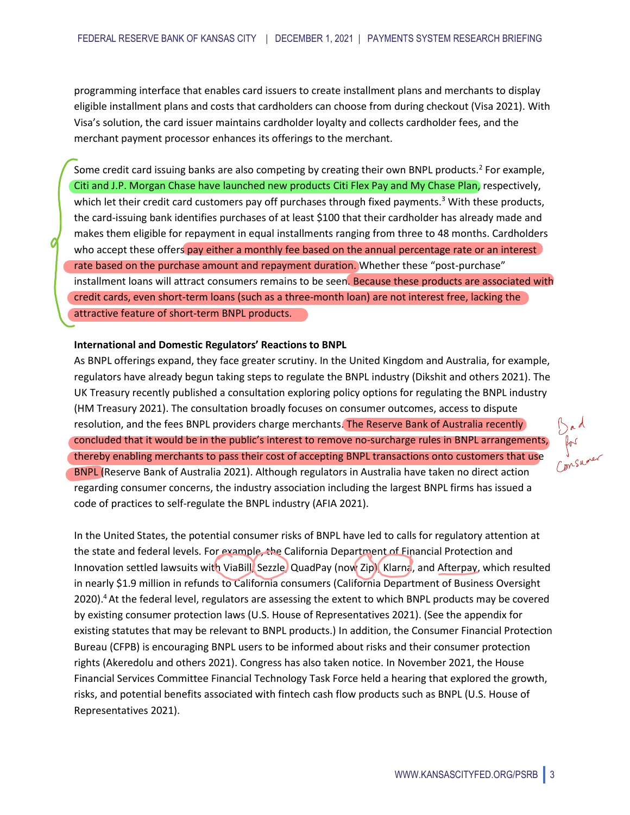programming interface that enables card issuers to create installment plans and merchants to display eligible installment plans and costs that cardholders can choose from during checkout (Visa 2021). With Visa's solution, the card issuer maintains cardholder loyalty and collects cardholder fees, and the merchant payment processor enhances its offerings to the merchant.

Some credit card issuing banks are also competing by creating their own BNPL products.<sup>2</sup> For example, Citi and J.P. Morgan Chase have launched new products Citi Flex Pay and My Chase Plan, respectively, which let their credit card customers pay off purchases through fixed payments.<sup>3</sup> With these products, the card-issuing bank identifies purchases of at least \$100 that their cardholder has already made and makes them eligible for repayment in equal installments ranging from three to 48 months. Cardholders who accept these offers pay either a monthly fee based on the annual percentage rate or an interest rate based on the purchase amount and repayment duration. Whether these "post-purchase" installment loans will attract consumers remains to be seen. Because these products are associated with credit cards, even short-term loans (such as a three-month loan) are not interest free, lacking the attractive feature of short-term BNPL products. N<br>P<br>I<br>I<br>C<br>I<br>C<br>C<br>C

#### **International and Domestic Regulators' Reactions to BNPL**

As BNPL offerings expand, they face greater scrutiny. In the United Kingdom and Australia, for example, regulators have already begun taking steps to regulate the BNPL industry (Dikshit and others 2021). The UK Treasury recently published a consultation exploring policy options for regulating the BNPL industry (HM Treasury 2021). The consultation broadly focuses on consumer outcomes, access to dispute resolution, and the fees BNPL providers charge merchants. The Reserve Bank of Australia recently concluded that it would be in the public's interest to remove no-surcharge rules in BNPL arrangements, thereby enabling merchants to pass their cost of accepting BNPL transactions onto customers that use BNPL (Reserve Bank of Australia 2021). Although regulators in Australia have taken no direct action regarding consumer concerns, the industry association including the largest BNPL firms has issued a code of practices to self-regulate the BNPL industry (AFIA 2021).

In the United States, the potential consumer risks of BNPL have led to calls for regulatory attention at the state and federal levels. For example, the California Department of Financial Protection and Innovation settled lawsuits with ViaBill, Sezzle, QuadPay (now Zip), Klarna, and Afterpay, which resulted in nearly \$1.9 million in refunds to California consumers (California Department of Business Oversight 2020). 4At the federal level, regulators are assessing the extent to which BNPL products may be covered by existing consumer protection laws (U.S. House of Representatives 2021). (See the appendix for existing statutes that may be relevant to BNPL products.) In addition, the Consumer Financial Protection Bureau (CFPB) is encouraging BNPL users to be informed about risks and their consumer protection rights (Akeredolu and others 2021). Congress has also taken notice. In November 2021, the House Financial Services Committee Financial Technology Task Force held a hearing that explored the growth, risks, and potential benefits associated with fintech cash flow products such as BNPL (U.S. House of Representatives 2021). tial consumer risks of BNPL have led to calls for regulator<br>or example, the California Department of Financial Protect<br>h ViaBill, Sezzle, QuadPay (now Zip), Klarna, and Afterpay<br>is to California consumers (California Depar

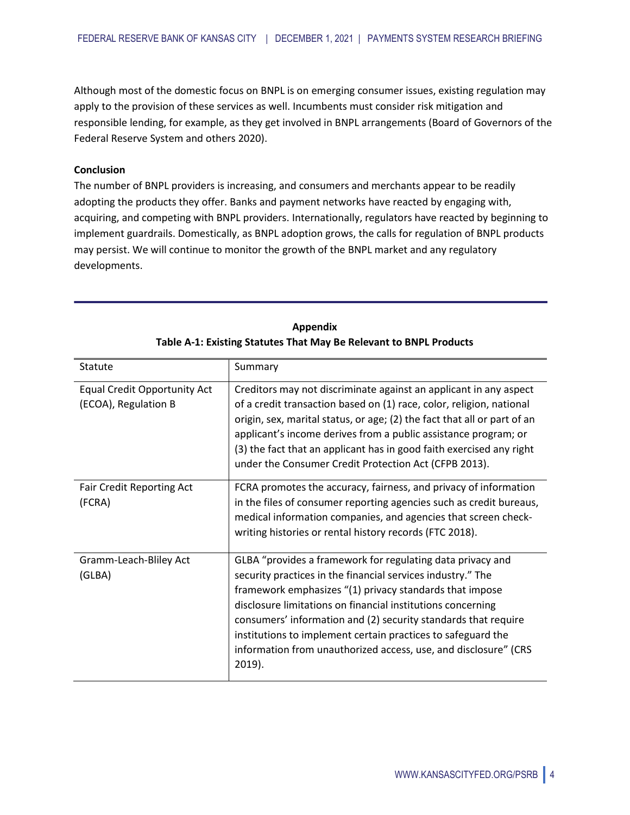Although most of the domestic focus on BNPL is on emerging consumer issues, existing regulation may apply to the provision of these services as well. Incumbents must consider risk mitigation and responsible lending, for example, as they get involved in BNPL arrangements (Board of Governors of the Federal Reserve System and others 2020).

## **Conclusion**

The number of BNPL providers is increasing, and consumers and merchants appear to be readily adopting the products they offer. Banks and payment networks have reacted by engaging with, acquiring, and competing with BNPL providers. Internationally, regulators have reacted by beginning to implement guardrails. Domestically, as BNPL adoption grows, the calls for regulation of BNPL products may persist. We will continue to monitor the growth of the BNPL market and any regulatory developments.

| Statute                                                     | Summary                                                                                                                                                                                                                                                                                                                                                                                                                                                               |
|-------------------------------------------------------------|-----------------------------------------------------------------------------------------------------------------------------------------------------------------------------------------------------------------------------------------------------------------------------------------------------------------------------------------------------------------------------------------------------------------------------------------------------------------------|
| <b>Equal Credit Opportunity Act</b><br>(ECOA), Regulation B | Creditors may not discriminate against an applicant in any aspect<br>of a credit transaction based on (1) race, color, religion, national<br>origin, sex, marital status, or age; (2) the fact that all or part of an<br>applicant's income derives from a public assistance program; or<br>(3) the fact that an applicant has in good faith exercised any right<br>under the Consumer Credit Protection Act (CFPB 2013).                                             |
| <b>Fair Credit Reporting Act</b><br>(FCRA)                  | FCRA promotes the accuracy, fairness, and privacy of information<br>in the files of consumer reporting agencies such as credit bureaus,<br>medical information companies, and agencies that screen check-<br>writing histories or rental history records (FTC 2018).                                                                                                                                                                                                  |
| Gramm-Leach-Bliley Act<br>(GLBA)                            | GLBA "provides a framework for regulating data privacy and<br>security practices in the financial services industry." The<br>framework emphasizes "(1) privacy standards that impose<br>disclosure limitations on financial institutions concerning<br>consumers' information and (2) security standards that require<br>institutions to implement certain practices to safeguard the<br>information from unauthorized access, use, and disclosure" (CRS<br>$2019$ ). |

**Appendix Table A-1: Existing Statutes That May Be Relevant to BNPL Products**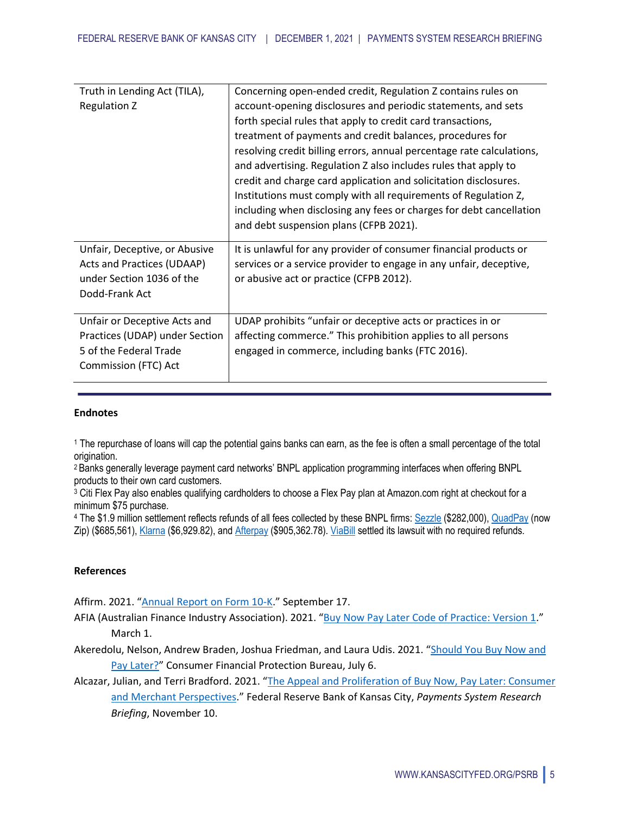| Truth in Lending Act (TILA),   | Concerning open-ended credit, Regulation Z contains rules on          |
|--------------------------------|-----------------------------------------------------------------------|
| Regulation Z                   | account-opening disclosures and periodic statements, and sets         |
|                                | forth special rules that apply to credit card transactions,           |
|                                | treatment of payments and credit balances, procedures for             |
|                                | resolving credit billing errors, annual percentage rate calculations, |
|                                | and advertising. Regulation Z also includes rules that apply to       |
|                                | credit and charge card application and solicitation disclosures.      |
|                                | Institutions must comply with all requirements of Regulation Z,       |
|                                | including when disclosing any fees or charges for debt cancellation   |
|                                | and debt suspension plans (CFPB 2021).                                |
| Unfair, Deceptive, or Abusive  | It is unlawful for any provider of consumer financial products or     |
| Acts and Practices (UDAAP)     | services or a service provider to engage in any unfair, deceptive,    |
| under Section 1036 of the      | or abusive act or practice (CFPB 2012).                               |
| Dodd-Frank Act                 |                                                                       |
|                                |                                                                       |
| Unfair or Deceptive Acts and   | UDAP prohibits "unfair or deceptive acts or practices in or           |
| Practices (UDAP) under Section | affecting commerce." This prohibition applies to all persons          |
| 5 of the Federal Trade         | engaged in commerce, including banks (FTC 2016).                      |
| Commission (FTC) Act           |                                                                       |
|                                |                                                                       |

#### **Endnotes**

<sup>1</sup> The repurchase of loans will cap the potential gains banks can earn, as the fee is often a small percentage of the total origination.

<sup>2</sup>Banks generally leverage payment card networks' BNPL application programming interfaces when offering BNPL products to their own card customers.

<sup>3</sup> Citi Flex Pay also enables qualifying cardholders to choose a Flex Pay plan at Amazon.com right at checkout for a minimum \$75 purchase.

<sup>4</sup> The \$1.9 million settlement reflects refunds of all fees collected by these BNPL firms: Sezzle (\$282,000), QuadPay (now Zip) (\$685,561), Klarna (\$6,929.82), and Afterpay (\$905,362.78). ViaBill settled its lawsuit with no required refunds.

# **References**

Affirm. 2021. "Annual Report on Form 10-K." September 17.

- AFIA (Australian Finance Industry Association). 2021. "Buy Now Pay Later Code of Practice: Version 1." March 1.
- Akeredolu, Nelson, Andrew Braden, Joshua Friedman, and Laura Udis. 2021. "Should You Buy Now and Pay Later?" Consumer Financial Protection Bureau, July 6.
- Alcazar, Julian, and Terri Bradford. 2021. "The Appeal and Proliferation of Buy Now, Pay Later: Consumer and Merchant Perspectives." Federal Reserve Bank of Kansas City, *Payments System Research Briefing*, November 10.